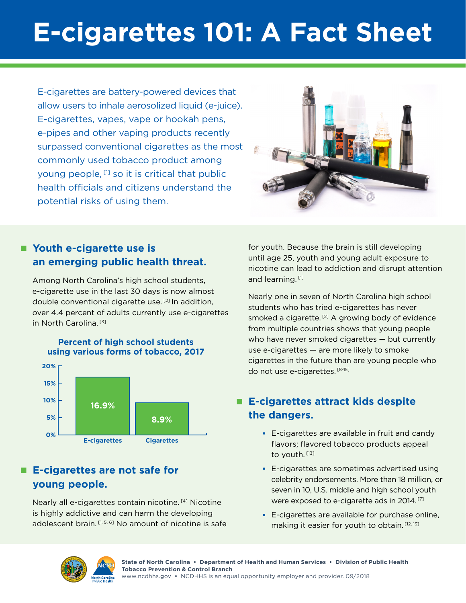# **E-cigarettes 101: A Fact Sheet**

E-cigarettes are battery-powered devices that allow users to inhale aerosolized liquid (e-juice). E-cigarettes, vapes, vape or hookah pens, e-pipes and other vaping products recently surpassed conventional cigarettes as the most commonly used tobacco product among young people, [1] so it is critical that public health officials and citizens understand the potential risks of using them.



### ■ Youth e-cigarette use is **an emerging public health threat.**

Among North Carolina's high school students, e-cigarette use in the last 30 days is now almost double conventional cigarette use. [2] In addition, over 4.4 percent of adults currently use e-cigarettes in North Carolina. [3]



#### ■ E-cigarettes are not safe for **young people.**

Nearly all e-cigarettes contain nicotine.<sup>[4]</sup> Nicotine is highly addictive and can harm the developing adolescent brain. [1, 5, 6] No amount of nicotine is safe

for youth. Because the brain is still developing until age 25, youth and young adult exposure to nicotine can lead to addiction and disrupt attention and learning.<sup>[1]</sup>

Nearly one in seven of North Carolina high school students who has tried e-cigarettes has never smoked a cigarette.<sup>[2]</sup> A growing body of evidence from multiple countries shows that young people who have never smoked cigarettes — but currently use e-cigarettes — are more likely to smoke cigarettes in the future than are young people who do not use e-cigarettes. [8-15]

#### ■ E-cigarettes attract kids despite **the dangers.**

- E-cigarettes are available in fruit and candy flavors; flavored tobacco products appeal to youth. [13]
- E-cigarettes are sometimes advertised using celebrity endorsements. More than 18 million, or seven in 10, U.S. middle and high school youth were exposed to e-cigarette ads in 2014.<sup>[7]</sup>
- E-cigarettes are available for purchase online, making it easier for youth to obtain. [12, 13]